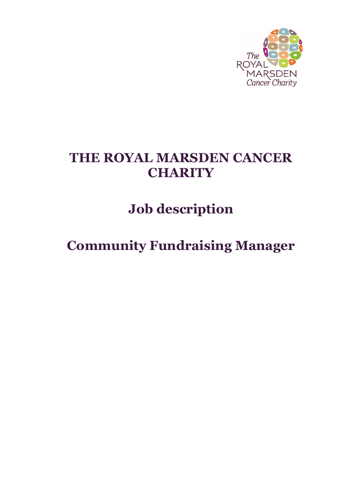

# **THE ROYAL MARSDEN CANCER CHARITY**

**Job description**

**Community Fundraising Manager**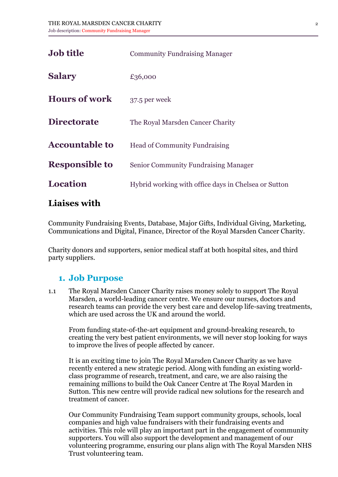| <b>Job title</b>      | <b>Community Fundraising Manager</b>                 |
|-----------------------|------------------------------------------------------|
| <b>Salary</b>         | £36,000                                              |
| <b>Hours of work</b>  | 37.5 per week                                        |
| <b>Directorate</b>    | The Royal Marsden Cancer Charity                     |
| <b>Accountable to</b> | <b>Head of Community Fundraising</b>                 |
| <b>Responsible to</b> | <b>Senior Community Fundraising Manager</b>          |
| <b>Location</b>       | Hybrid working with office days in Chelsea or Sutton |
|                       |                                                      |

#### **Liaises with**

Community Fundraising Events, Database, Major Gifts, Individual Giving, Marketing, Communications and Digital, Finance, Director of the Royal Marsden Cancer Charity.

Charity donors and supporters, senior medical staff at both hospital sites, and third party suppliers.

#### **1. Job Purpose**

1.1 The Royal Marsden Cancer Charity raises money solely to support The Royal Marsden, a world-leading cancer centre. We ensure our nurses, doctors and research teams can provide the very best care and develop life-saving treatments, which are used across the UK and around the world.

From funding state-of-the-art equipment and ground-breaking research, to creating the very best patient environments, we will never stop looking for ways to improve the lives of people affected by cancer.

It is an exciting time to join The Royal Marsden Cancer Charity as we have recently entered a new strategic period. Along with funding an existing worldclass programme of research, treatment, and care, we are also raising the remaining millions to build the Oak Cancer Centre at The Royal Marden in Sutton. This new centre will provide radical new solutions for the research and treatment of cancer.

Our Community Fundraising Team support community groups, schools, local companies and high value fundraisers with their fundraising events and activities. This role will play an important part in the engagement of community supporters. You will also support the development and management of our volunteering programme, ensuring our plans align with The Royal Marsden NHS Trust volunteering team.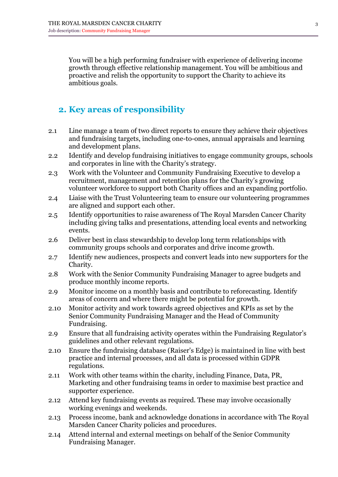You will be a high performing fundraiser with experience of delivering income growth through effective relationship management. You will be ambitious and proactive and relish the opportunity to support the Charity to achieve its ambitious goals.

# **2. Key areas of responsibility**

- 2.1 Line manage a team of two direct reports to ensure they achieve their objectives and fundraising targets, including one-to-ones, annual appraisals and learning and development plans.
- 2.2 Identify and develop fundraising initiatives to engage community groups, schools and corporates in line with the Charity's strategy.
- 2.3 Work with the Volunteer and Community Fundraising Executive to develop a recruitment, management and retention plans for the Charity's growing volunteer workforce to support both Charity offices and an expanding portfolio.
- 2.4 Liaise with the Trust Volunteering team to ensure our volunteering programmes are aligned and support each other.
- 2.5 Identify opportunities to raise awareness of The Royal Marsden Cancer Charity including giving talks and presentations, attending local events and networking events.
- 2.6 Deliver best in class stewardship to develop long term relationships with community groups schools and corporates and drive income growth.
- 2.7 Identify new audiences, prospects and convert leads into new supporters for the Charity.
- 2.8 Work with the Senior Community Fundraising Manager to agree budgets and produce monthly income reports.
- 2.9 Monitor income on a monthly basis and contribute to reforecasting. Identify areas of concern and where there might be potential for growth.
- 2.10 Monitor activity and work towards agreed objectives and KPIs as set by the Senior Community Fundraising Manager and the Head of Community Fundraising.
- 2.9 Ensure that all fundraising activity operates within the Fundraising Regulator's guidelines and other relevant regulations.
- 2.10 Ensure the fundraising database (Raiser's Edge) is maintained in line with best practice and internal processes, and all data is processed within GDPR regulations.
- 2.11 Work with other teams within the charity, including Finance, Data, PR, Marketing and other fundraising teams in order to maximise best practice and supporter experience.
- 2.12 Attend key fundraising events as required. These may involve occasionally working evenings and weekends.
- 2.13 Process income, bank and acknowledge donations in accordance with The Royal Marsden Cancer Charity policies and procedures.
- 2.14 Attend internal and external meetings on behalf of the Senior Community Fundraising Manager.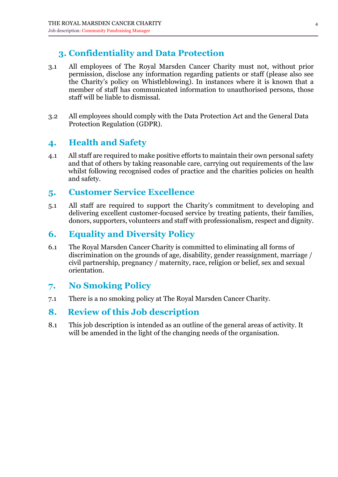# **3. Confidentiality and Data Protection**

- 3.1 All employees of The Royal Marsden Cancer Charity must not, without prior permission, disclose any information regarding patients or staff (please also see the Charity's policy on Whistleblowing). In instances where it is known that a member of staff has communicated information to unauthorised persons, those staff will be liable to dismissal.
- 3.2 All employees should comply with the Data Protection Act and the General Data Protection Regulation (GDPR).

### **4. Health and Safety**

4.1 All staff are required to make positive efforts to maintain their own personal safety and that of others by taking reasonable care, carrying out requirements of the law whilst following recognised codes of practice and the charities policies on health and safety.

#### **5. Customer Service Excellence**

5.1 All staff are required to support the Charity's commitment to developing and delivering excellent customer-focused service by treating patients, their families, donors, supporters, volunteers and staff with professionalism, respect and dignity.

## **6. Equality and Diversity Policy**

6.1 The Royal Marsden Cancer Charity is committed to eliminating all forms of discrimination on the grounds of age, disability, gender reassignment, marriage / civil partnership, pregnancy / maternity, race, religion or belief, sex and sexual orientation.

## **7. No Smoking Policy**

7.1 There is a no smoking policy at The Royal Marsden Cancer Charity.

#### **8. Review of this Job description**

8.1 This job description is intended as an outline of the general areas of activity. It will be amended in the light of the changing needs of the organisation.